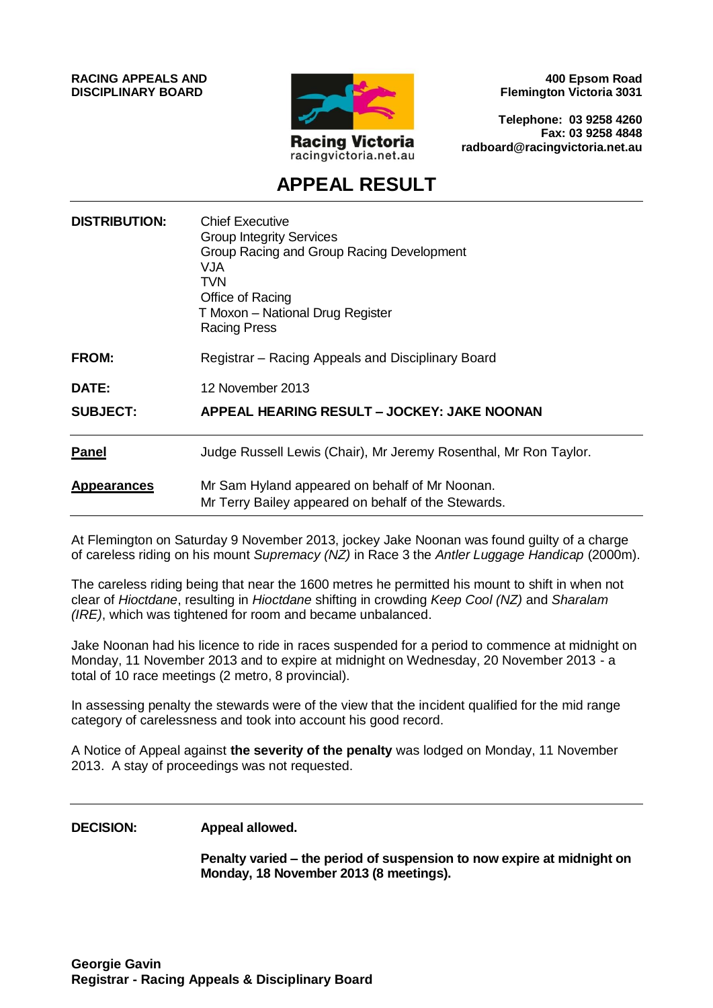**RACING APPEALS AND DISCIPLINARY BOARD**



**400 Epsom Road Flemington Victoria 3031**

**Telephone: 03 9258 4260 Fax: 03 9258 4848 radboard@racingvictoria.net.au**

## **APPEAL RESULT**

| <b>DISTRIBUTION:</b> | <b>Chief Executive</b><br><b>Group Integrity Services</b><br>Group Racing and Group Racing Development<br>VJA<br>TVN<br>Office of Racing<br>T Moxon - National Drug Register<br><b>Racing Press</b> |
|----------------------|-----------------------------------------------------------------------------------------------------------------------------------------------------------------------------------------------------|
| <b>FROM:</b>         | Registrar - Racing Appeals and Disciplinary Board                                                                                                                                                   |
| <b>DATE:</b>         | 12 November 2013                                                                                                                                                                                    |
| <b>SUBJECT:</b>      | APPEAL HEARING RESULT - JOCKEY: JAKE NOONAN                                                                                                                                                         |
| <b>Panel</b>         | Judge Russell Lewis (Chair), Mr Jeremy Rosenthal, Mr Ron Taylor.                                                                                                                                    |
| <b>Appearances</b>   | Mr Sam Hyland appeared on behalf of Mr Noonan.<br>Mr Terry Bailey appeared on behalf of the Stewards.                                                                                               |

At Flemington on Saturday 9 November 2013, jockey Jake Noonan was found guilty of a charge of careless riding on his mount *Supremacy (NZ)* in Race 3 the *Antler Luggage Handicap* (2000m).

The careless riding being that near the 1600 metres he permitted his mount to shift in when not clear of *Hioctdane*, resulting in *Hioctdane* shifting in crowding *Keep Cool (NZ)* and *Sharalam (IRE)*, which was tightened for room and became unbalanced.

Jake Noonan had his licence to ride in races suspended for a period to commence at midnight on Monday, 11 November 2013 and to expire at midnight on Wednesday, 20 November 2013 - a total of 10 race meetings (2 metro, 8 provincial).

In assessing penalty the stewards were of the view that the incident qualified for the mid range category of carelessness and took into account his good record.

A Notice of Appeal against **the severity of the penalty** was lodged on Monday, 11 November 2013. A stay of proceedings was not requested.

#### **DECISION: Appeal allowed.**

**Penalty varied – the period of suspension to now expire at midnight on Monday, 18 November 2013 (8 meetings).**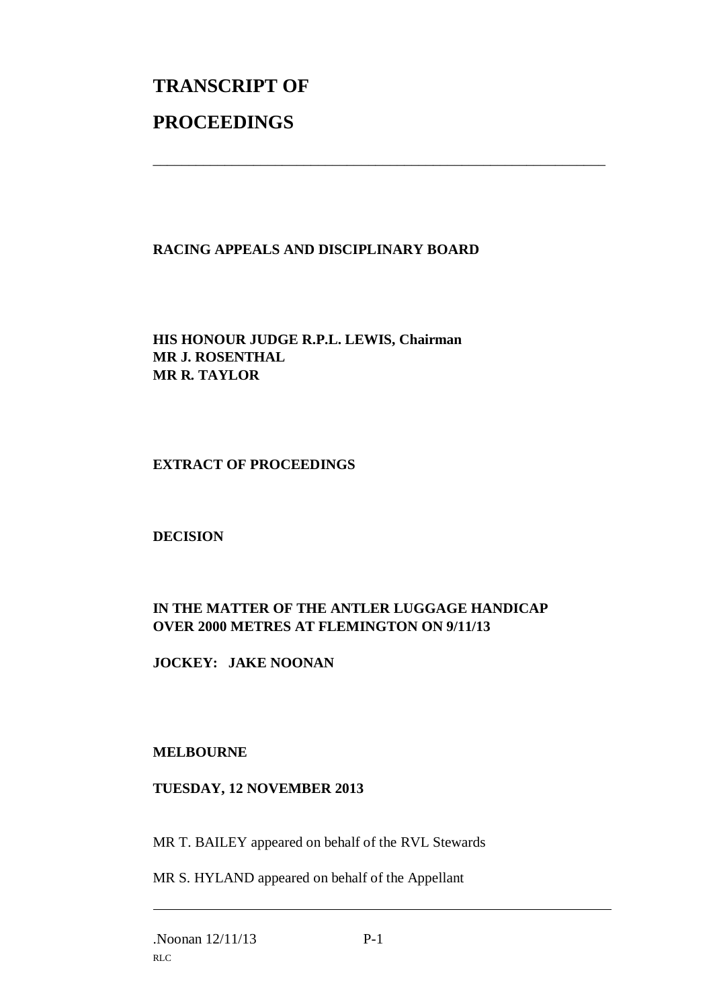# **TRANSCRIPT OF PROCEEDINGS**

#### **RACING APPEALS AND DISCIPLINARY BOARD**

\_\_\_\_\_\_\_\_\_\_\_\_\_\_\_\_\_\_\_\_\_\_\_\_\_\_\_\_\_\_\_\_\_\_\_\_\_\_\_\_\_\_\_\_\_\_\_\_\_\_\_\_\_\_\_\_\_\_\_\_\_\_\_

**HIS HONOUR JUDGE R.P.L. LEWIS, Chairman MR J. ROSENTHAL MR R. TAYLOR**

#### **EXTRACT OF PROCEEDINGS**

#### **DECISION**

### **IN THE MATTER OF THE ANTLER LUGGAGE HANDICAP OVER 2000 METRES AT FLEMINGTON ON 9/11/13**

**JOCKEY: JAKE NOONAN**

#### **MELBOURNE**

#### **TUESDAY, 12 NOVEMBER 2013**

MR T. BAILEY appeared on behalf of the RVL Stewards

MR S. HYLAND appeared on behalf of the Appellant